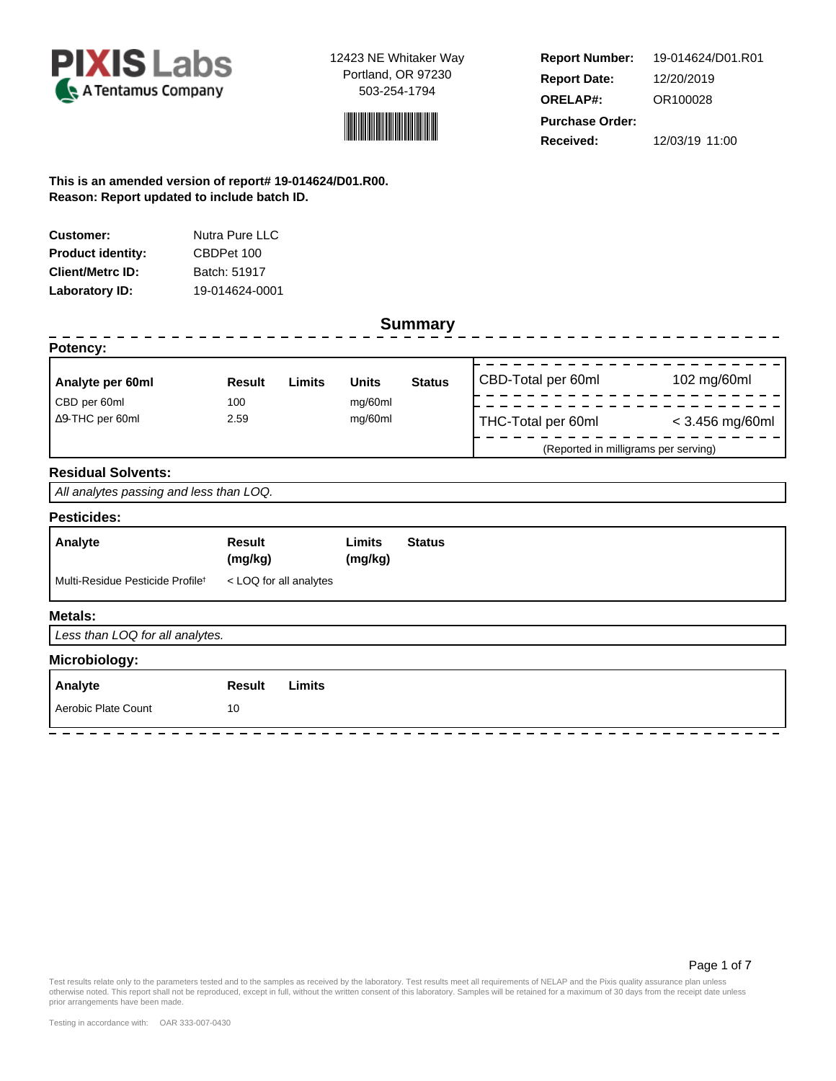



**Report Number: Report Date: ORELAP#:** 12/20/2019 OR100028 **Received:** 12/03/19 11:00 **Purchase Order:** 19-014624/D01.R01

**This is an amended version of report# 19-014624/D01.R00. Reason: Report updated to include batch ID.**

| Customer:                | Nutra Pure LLC |
|--------------------------|----------------|
| <b>Product identity:</b> | CBDPet 100     |
| <b>Client/Metrc ID:</b>  | Batch: 51917   |
| Laboratory ID:           | 19-014624-0001 |

| <b>Result</b>                           | Limits | <b>Units</b>           | <b>Status</b> | CBD-Total per 60ml                   | 102 mg/60ml       |  |  |
|-----------------------------------------|--------|------------------------|---------------|--------------------------------------|-------------------|--|--|
| 100                                     |        | mg/60ml                |               |                                      |                   |  |  |
| 2.59                                    |        | mg/60ml                |               | THC-Total per 60ml                   | $<$ 3.456 mg/60ml |  |  |
|                                         |        |                        |               | (Reported in milligrams per serving) |                   |  |  |
|                                         |        |                        |               |                                      |                   |  |  |
| All analytes passing and less than LOQ. |        |                        |               |                                      |                   |  |  |
|                                         |        |                        |               |                                      |                   |  |  |
| <b>Result</b><br>(mg/kg)                |        | Limits<br>(mg/kg)      | <b>Status</b> |                                      |                   |  |  |
|                                         |        |                        |               |                                      |                   |  |  |
|                                         |        |                        |               |                                      |                   |  |  |
| Less than LOQ for all analytes.         |        |                        |               |                                      |                   |  |  |
|                                         |        |                        |               |                                      |                   |  |  |
| <b>Result</b>                           | Limits |                        |               |                                      |                   |  |  |
| 10                                      |        |                        |               |                                      |                   |  |  |
|                                         |        | < LOQ for all analytes |               | <b>Summary</b>                       |                   |  |  |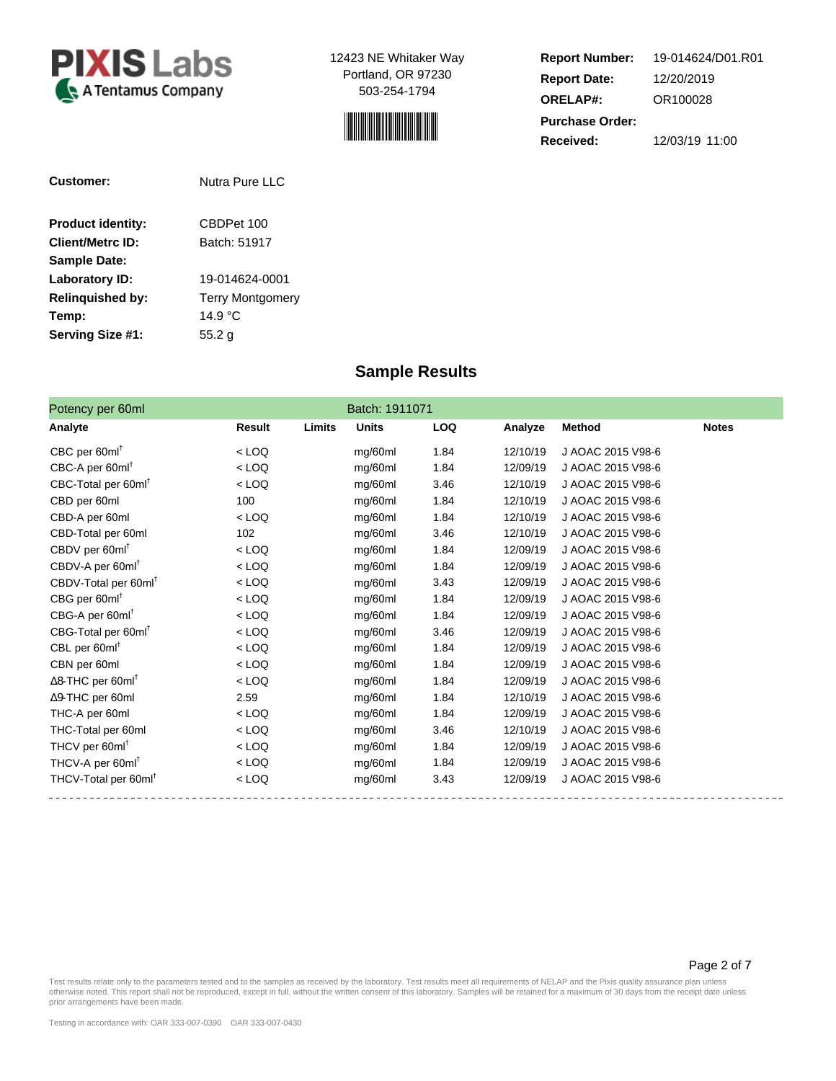



**Report Number: Report Date: ORELAP#:** 12/20/2019 OR100028 **Received:** 12/03/19 11:00 **Purchase Order:** 19-014624/D01.R01

| Customer:                | Nutra Pure LLC          |  |  |
|--------------------------|-------------------------|--|--|
| <b>Product identity:</b> | CBDPet 100              |  |  |
| <b>Client/Metrc ID:</b>  | Batch: 51917            |  |  |
| <b>Sample Date:</b>      |                         |  |  |
| <b>Laboratory ID:</b>    | 19-014624-0001          |  |  |
| <b>Relinguished by:</b>  | <b>Terry Montgomery</b> |  |  |
| Temp:                    | 14.9 °C                 |  |  |
| <b>Serving Size #1:</b>  | 55.2 g                  |  |  |

## **Sample Results**

| Potency per 60ml                     |         |        | Batch: 1911071 |            |          |                   |              |
|--------------------------------------|---------|--------|----------------|------------|----------|-------------------|--------------|
| Analyte                              | Result  | Limits | <b>Units</b>   | <b>LOQ</b> | Analyze  | <b>Method</b>     | <b>Notes</b> |
| $CBC$ per 60ml                       | $<$ LOQ |        | mg/60ml        | 1.84       | 12/10/19 | J AOAC 2015 V98-6 |              |
| CBC-A per 60ml                       | $<$ LOQ |        | mg/60ml        | 1.84       | 12/09/19 | J AOAC 2015 V98-6 |              |
| CBC-Total per 60ml                   | $<$ LOQ |        | mg/60ml        | 3.46       | 12/10/19 | J AOAC 2015 V98-6 |              |
| CBD per 60ml                         | 100     |        | mg/60ml        | 1.84       | 12/10/19 | J AOAC 2015 V98-6 |              |
| CBD-A per 60ml                       | $<$ LOQ |        | mg/60ml        | 1.84       | 12/10/19 | J AOAC 2015 V98-6 |              |
| CBD-Total per 60ml                   | 102     |        | mg/60ml        | 3.46       | 12/10/19 | J AOAC 2015 V98-6 |              |
| CBDV per 60ml <sup>t</sup>           | $<$ LOQ |        | mg/60ml        | 1.84       | 12/09/19 | J AOAC 2015 V98-6 |              |
| CBDV-A per 60ml <sup>t</sup>         | $<$ LOQ |        | mg/60ml        | 1.84       | 12/09/19 | J AOAC 2015 V98-6 |              |
| CBDV-Total per 60ml                  | $<$ LOQ |        | mg/60ml        | 3.43       | 12/09/19 | J AOAC 2015 V98-6 |              |
| $CBG$ per 60ml <sup>t</sup>          | $<$ LOQ |        | mg/60ml        | 1.84       | 12/09/19 | J AOAC 2015 V98-6 |              |
| CBG-A per 60ml                       | $<$ LOQ |        | mg/60ml        | 1.84       | 12/09/19 | J AOAC 2015 V98-6 |              |
| CBG-Total per 60ml <sup>t</sup>      | $<$ LOQ |        | mg/60ml        | 3.46       | 12/09/19 | J AOAC 2015 V98-6 |              |
| CBL per 60ml <sup>t</sup>            | $<$ LOQ |        | mg/60ml        | 1.84       | 12/09/19 | J AOAC 2015 V98-6 |              |
| CBN per 60ml                         | $<$ LOQ |        | mg/60ml        | 1.84       | 12/09/19 | J AOAC 2015 V98-6 |              |
| $\Delta$ 8-THC per 60ml <sup>T</sup> | $<$ LOQ |        | mg/60ml        | 1.84       | 12/09/19 | J AOAC 2015 V98-6 |              |
| ∆9-THC per 60ml                      | 2.59    |        | mg/60ml        | 1.84       | 12/10/19 | J AOAC 2015 V98-6 |              |
| THC-A per 60ml                       | $<$ LOQ |        | mg/60ml        | 1.84       | 12/09/19 | J AOAC 2015 V98-6 |              |
| THC-Total per 60ml                   | $<$ LOQ |        | mg/60ml        | 3.46       | 12/10/19 | J AOAC 2015 V98-6 |              |
| THCV per 60ml <sup>t</sup>           | $<$ LOQ |        | mg/60ml        | 1.84       | 12/09/19 | J AOAC 2015 V98-6 |              |
| THCV-A per 60ml                      | $<$ LOQ |        | mg/60ml        | 1.84       | 12/09/19 | J AOAC 2015 V98-6 |              |
| THCV-Total per 60ml                  | $<$ LOQ |        | mg/60ml        | 3.43       | 12/09/19 | J AOAC 2015 V98-6 |              |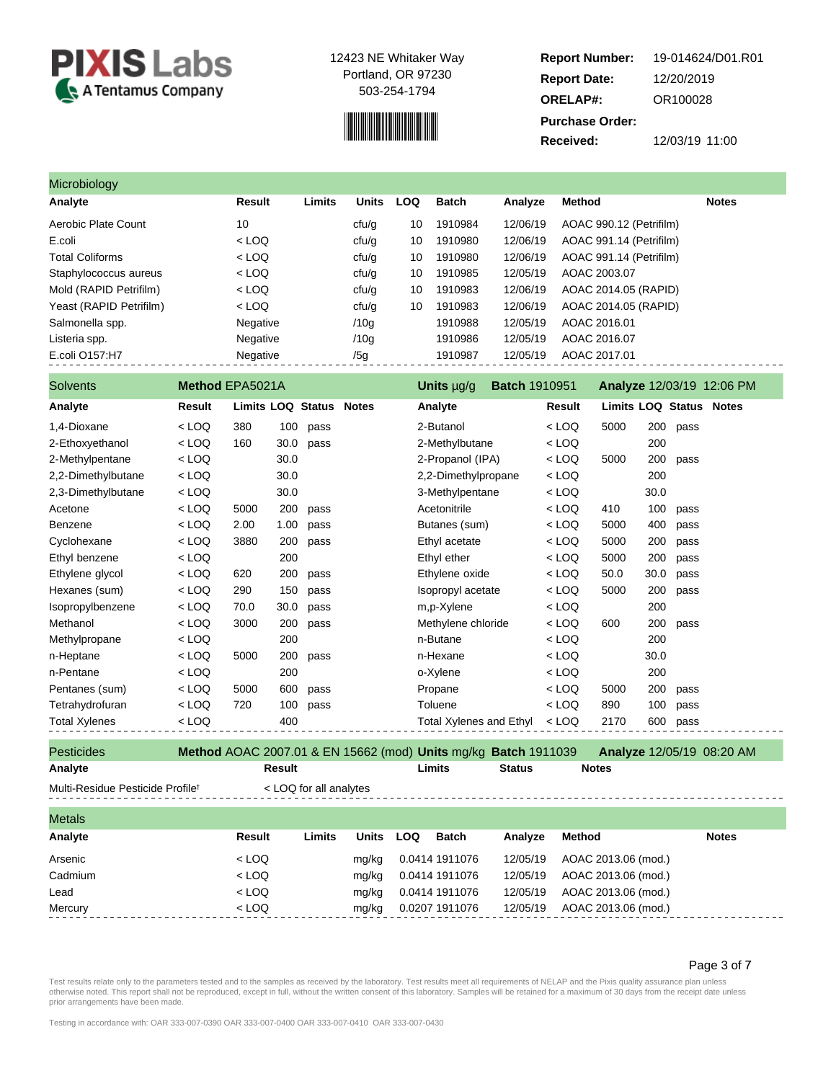

# 

**Report Number: Report Date: ORELAP#:** 12/20/2019 OR100028 **Received:** 12/03/19 11:00 **Purchase Order:** 19-014624/D01.R01

| Microbiology            |          |        |              |            |              |          |                         |              |
|-------------------------|----------|--------|--------------|------------|--------------|----------|-------------------------|--------------|
| Analyte                 | Result   | Limits | <b>Units</b> | <b>LOQ</b> | <b>Batch</b> | Analyze  | Method                  | <b>Notes</b> |
| Aerobic Plate Count     | 10       |        | cfu/g        | 10         | 1910984      | 12/06/19 | AOAC 990.12 (Petrifilm) |              |
| E.coli                  | $<$ LOQ  |        | cfu/g        | 10         | 1910980      | 12/06/19 | AOAC 991.14 (Petrifilm) |              |
| <b>Total Coliforms</b>  | $<$ LOQ  |        | cfu/g        | 10         | 1910980      | 12/06/19 | AOAC 991.14 (Petrifilm) |              |
| Staphylococcus aureus   | $<$ LOQ  |        | cfu/g        | 10         | 1910985      | 12/05/19 | AOAC 2003.07            |              |
| Mold (RAPID Petrifilm)  | $<$ LOQ  |        | cfu/g        | 10         | 1910983      | 12/06/19 | AOAC 2014.05 (RAPID)    |              |
| Yeast (RAPID Petrifilm) | $<$ LOQ  |        | cfu/g        | 10         | 1910983      | 12/06/19 | AOAC 2014.05 (RAPID)    |              |
| Salmonella spp.         | Negative |        | /10q         |            | 1910988      | 12/05/19 | AOAC 2016.01            |              |
| Listeria spp.           | Negative |        | /10q         |            | 1910986      | 12/05/19 | AOAC 2016.07            |              |
| E.coli O157:H7          | Negative |        | /5g          |            | 1910987      | 12/05/19 | AOAC 2017.01            |              |

| <b>Solvents</b>      | Method EPA5021A |                   |      |              | Units µg/g<br><b>Batch 1910951</b> |         |      |      | <b>Analyze 12/03/19 12:06 PM</b> |
|----------------------|-----------------|-------------------|------|--------------|------------------------------------|---------|------|------|----------------------------------|
| Analyte              | Result          | Limits LOQ Status |      | <b>Notes</b> | Analyte                            | Result  |      |      | <b>Limits LOQ Status Notes</b>   |
| 1,4-Dioxane          | $<$ LOQ         | 380               | 100  | pass         | 2-Butanol                          | < LOQ   | 5000 | 200  | pass                             |
| 2-Ethoxyethanol      | $<$ LOQ         | 160               | 30.0 | pass         | 2-Methylbutane                     | < LOQ   |      | 200  |                                  |
| 2-Methylpentane      | $<$ LOQ         |                   | 30.0 |              | 2-Propanol (IPA)                   | $<$ LOQ | 5000 | 200  | pass                             |
| 2,2-Dimethylbutane   | $<$ LOQ         |                   | 30.0 |              | 2,2-Dimethylpropane                | $<$ LOQ |      | 200  |                                  |
| 2,3-Dimethylbutane   | $<$ LOQ         |                   | 30.0 |              | 3-Methylpentane                    | $<$ LOQ |      | 30.0 |                                  |
| Acetone              | $<$ LOQ         | 5000              | 200  | pass         | Acetonitrile                       | $<$ LOQ | 410  | 100  | pass                             |
| Benzene              | $<$ LOQ         | 2.00              | 1.00 | pass         | Butanes (sum)                      | $<$ LOQ | 5000 | 400  | pass                             |
| Cyclohexane          | $<$ LOQ         | 3880              | 200  | pass         | Ethyl acetate                      | < LOQ   | 5000 | 200  | pass                             |
| Ethyl benzene        | $<$ LOQ         |                   | 200  |              | Ethyl ether                        | $<$ LOQ | 5000 | 200  | pass                             |
| Ethylene glycol      | $<$ LOQ         | 620               | 200  | pass         | Ethylene oxide                     | $<$ LOQ | 50.0 | 30.0 | pass                             |
| Hexanes (sum)        | $<$ LOQ         | 290               | 150  | pass         | Isopropyl acetate                  | $<$ LOQ | 5000 | 200  | pass                             |
| Isopropylbenzene     | $<$ LOQ         | 70.0              | 30.0 | pass         | m,p-Xylene                         | $<$ LOQ |      | 200  |                                  |
| Methanol             | < LOQ           | 3000              | 200  | pass         | Methylene chloride                 | < LOQ   | 600  | 200  | pass                             |
| Methylpropane        | < LOQ           |                   | 200  |              | n-Butane                           | $<$ LOQ |      | 200  |                                  |
| n-Heptane            | < LOQ           | 5000              | 200  | pass         | n-Hexane                           | < LOQ   |      | 30.0 |                                  |
| n-Pentane            | $<$ LOQ         |                   | 200  |              | o-Xylene                           | < LOQ   |      | 200  |                                  |
| Pentanes (sum)       | $<$ LOQ         | 5000              | 600  | pass         | Propane                            | < LOQ   | 5000 | 200  | pass                             |
| Tetrahydrofuran      | < LOQ           | 720               | 100  | pass         | Toluene                            | $<$ LOQ | 890  | 100  | pass                             |
| <b>Total Xylenes</b> | < LOQ           |                   | 400  |              | <b>Total Xylenes and Ethyl</b>     | < LOQ   | 2170 | 600  | pass                             |

Pesticides **Method** AOAC 2007.01 & EN 15662 (mod) **Units** mg/kg **Batch** 1911039 **Analyze** 12/05/19 08:20 AM **Analyte Result Limits Status Notes**

Multi-Residue Pesticide Profile<sup>t</sup> < LOQ for all analytes

| <b>Metals</b> |         |        |              |                |              |          |                     |              |
|---------------|---------|--------|--------------|----------------|--------------|----------|---------------------|--------------|
| Analyte       | Result  | Limits | <b>Units</b> | LOQ            | <b>Batch</b> | Analyze  | Method              | <b>Notes</b> |
| Arsenic       | $<$ LOQ |        | mg/kg        | 0.0414 1911076 |              | 12/05/19 | AOAC 2013.06 (mod.) |              |
| Cadmium       | $<$ LOQ |        | mg/kg        | 0.0414 1911076 |              | 12/05/19 | AOAC 2013.06 (mod.) |              |
| Lead          | $<$ LOQ |        | mg/kg        | 0.0414 1911076 |              | 12/05/19 | AOAC 2013.06 (mod.) |              |
| Mercury       | $<$ LOQ |        | mg/kg        | 0.0207 1911076 |              | 12/05/19 | AOAC 2013.06 (mod.) |              |

Page 3 of 7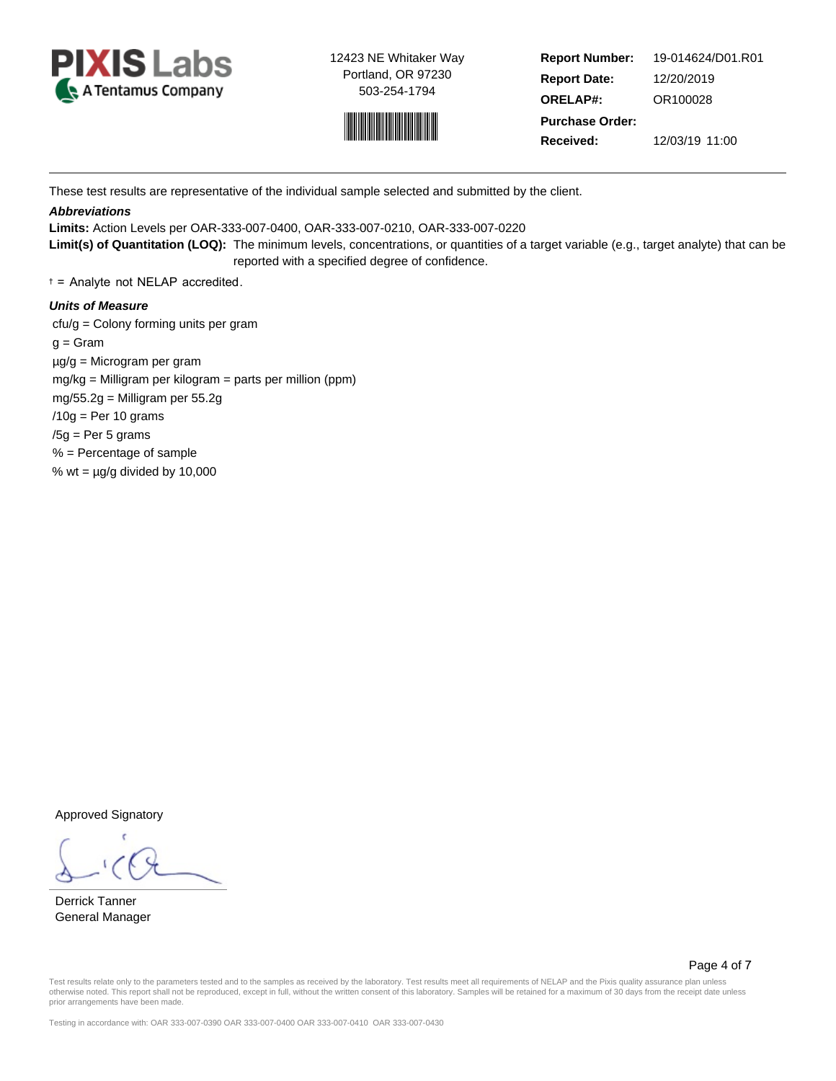



**Report Number: Report Date: ORELAP#:** 12/20/2019 OR100028 **Received:** 12/03/19 11:00 **Purchase Order:** 19-014624/D01.R01

These test results are representative of the individual sample selected and submitted by the client.

## **Abbreviations**

**Limits:** Action Levels per OAR-333-007-0400, OAR-333-007-0210, OAR-333-007-0220

**Limit(s) of Quantitation (LOQ):** The minimum levels, concentrations, or quantities of a target variable (e.g., target analyte) that can be reported with a specified degree of confidence.

† = Analyte not NELAP accredited.

## **Units of Measure**

 cfu/g = Colony forming units per gram  $g =$ Gram µg/g = Microgram per gram mg/kg = Milligram per kilogram = parts per million (ppm) mg/55.2g = Milligram per 55.2g  $/10g$  = Per 10 grams  $/5g$  = Per 5 grams % = Percentage of sample % wt =  $\mu$ g/g divided by 10,000

Approved Signatory

Derrick Tanner General Manager

Page 4 of 7

Test results relate only to the parameters tested and to the samples as received by the laboratory. Test results meet all requirements of NELAP and the Pixis quality assurance plan unless otherwise noted. This report shall not be reproduced, except in full, without the written consent of this laboratory. Samples will be retained for a maximum of 30 days from the receipt date unless prior arrangements have been made.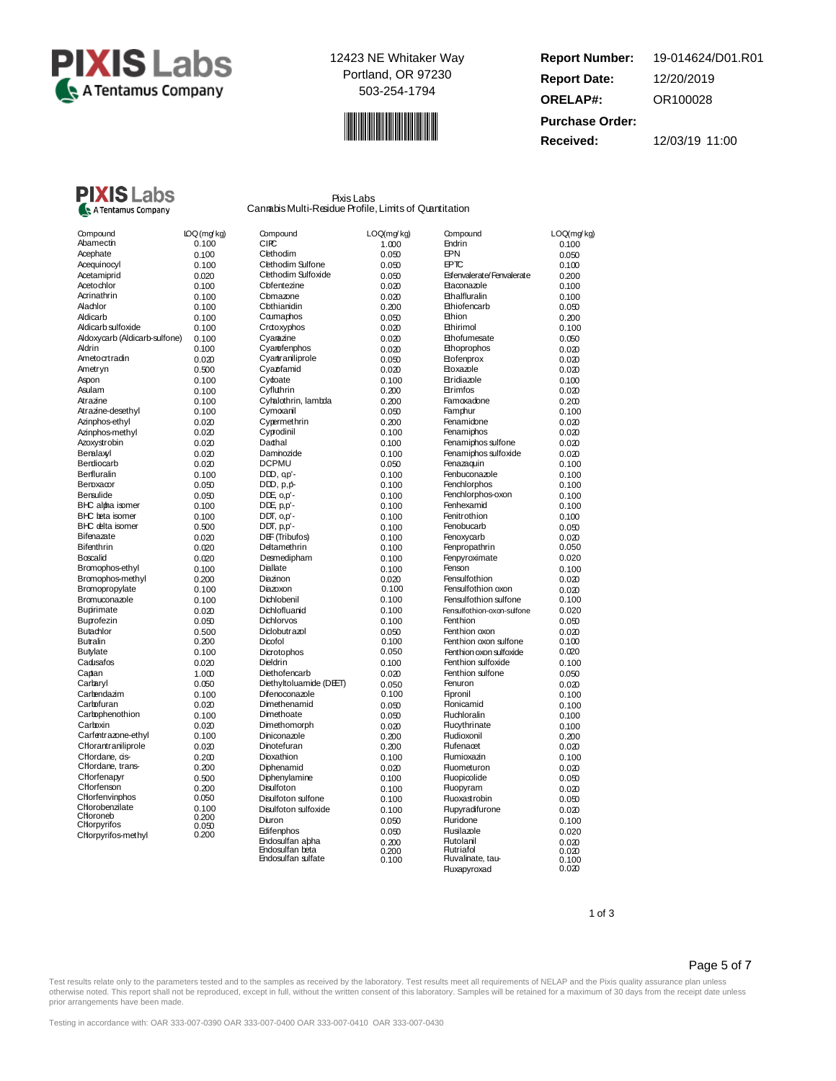



**Report Number: Report Date: ORELAP#:** 12/20/2019 OR100028 **Received:** 12/03/19 11:00 **Purchase Order:** 19-014624/D01.R01



Pixis Labs CannabisMulti-Residue Profile, Limits of Quantitation

| Compound                      | IOQ(mg         |
|-------------------------------|----------------|
| Abamecth                      | 0.100          |
| Acephate                      | 0.100          |
| Acequinocyl                   | 0.100          |
| Acetamiprid                   | 0.020          |
| Acetochlor                    | 0.100          |
| Acrinathrin                   | 0.100          |
| Alachlor                      | 0.100          |
| Aldicarb                      | 0.100          |
| Aldicarb sulfoxide            | 0.100          |
| Aldoxycarb (Aldicarb-sulfone) | 0.100          |
| Aldrin                        | 0.100          |
| Ametocrtradin                 | 0.020          |
| Ametryn                       | 0.500          |
| Aspon                         | 0.100          |
| Asulam                        | 0.100          |
| Atrazine                      | 0.100          |
| Atrazine-desethyl             | 0.100          |
| Azinphos-ethyl                | 0.020          |
| Azinphos-methyl               | 0.020          |
| Azoxystrobin                  | 0.020          |
| Beralaxyl                     | 0.020          |
| Berdiocarb                    | 0.020          |
| Berfluralin                   | 0.100          |
| Beroxacor                     | 0.050          |
| Bensulide                     | 0.050          |
| BHC alpha isomer              | 0.100          |
| <b>BHC</b> beta isomer        | 0.100          |
| <b>BHC</b> delta isomer       | 0.500          |
| Bifenazate                    | 0.020          |
| <b>Bifenthrin</b>             | 0.020          |
| Boscalid                      | 0.020          |
| Bramophos-ethyl               | 0.100          |
| Bromophos-methyl              | 0.200          |
| Bromopropylate                | 0.100          |
| Bromuconazole                 | 0.100          |
| <b>Bupirimate</b>             | 0.020          |
| Buprofezin                    | 0.050          |
| <b>Butachlor</b>              | 0.500          |
| Butralin                      | 0.200          |
| <b>Butylate</b>               | 0.100          |
| Cadusafos                     | 0.020          |
| Captan                        | 1.000          |
| Carbaryl                      | 0.050          |
| Carbendazim                   | 0.100          |
| Carbofuran                    | 0.020          |
| Carbophenothion               |                |
| Carboxin                      | 0.100<br>0.020 |
| Carfentrazone-ethyl           | 0.100          |
| Chorantraniliprole            | 0.020          |
| Chordane, ds-                 |                |
| Chordane, trans-              | 0.200          |
| Chorfenapyr                   | 0.200          |
| Chorfenson                    | 0.500<br>0.200 |
| Chorfenvinphos                | 0.050          |
| Chorobenzilate                | 0.100          |
| Choroneb                      | 0.200          |
| Chorpyrifos                   | 0.050          |
| Chorpyrifos-methyl            | 0.200          |
|                               |                |

| Compound                                   | IOQ (mg/kg) | Compound               | LOQ(mg/kg)     | Compound                   | LOQ(mg/kg)     |
|--------------------------------------------|-------------|------------------------|----------------|----------------------------|----------------|
| Abamecth                                   | 0.100       | CIFC                   | 1.000          | Endrin                     | 0.100          |
| Acephate                                   | 0.100       | Cethodim               | 0.050          | <b>EPN</b>                 | 0.050          |
| Acequinocyl                                | 0.100       | Clethodim Sulfone      | 0.050          | <b>EPTC</b>                | 0.100          |
| Acetamiprid                                | 0.020       | Cethodim Sulfoxide     | 0.050          | Esfenvalerate/Fenvalerate  | 0.200          |
| Acetochlor                                 | 0.100       | Cbfentezine            | 0.020          | <b>Etaconazole</b>         | 0.100          |
| Acrinathrin                                | 0.100       | Cbmazone               | 0.020          | <b>Ethalfluralin</b>       | 0.100          |
| Alachlor                                   | 0.100       | Cbthianidin            | 0.200          | Ethiofencarb               | 0.050          |
| Aldicarb                                   | 0.100       | Caumaphos              | 0.050          | Ethion                     | 0.200          |
| Aldicarb sulfoxide                         | 0.100       | Crooxyphos             | 0.020          | <b>Bhirimol</b>            | 0.100          |
| Aldoxycarb (Aldicarb-sulfone)              | 0.100       | Cyamazine              | 0.020          | Ethofumesate               | 0.050          |
| Aldrin                                     | 0.100       | Cyarofenphos           | 0.020          | Ethoprophos                | 0.020          |
| Ametocrtradin                              | 0.020       | Cyantraniliprole       | 0.050          | Etofenprox                 | 0.020          |
| Ametryn                                    | 0.500       | Cyaz famid             | 0.020          | Etoxazole                  | 0.020          |
| Aspon                                      | 0.100       | Cydoate                | 0.100          | Etridiazole                | 0.100          |
| Asulam                                     | 0.100       | Cyfluthrin             | 0.200          | Etrimfos                   | 0.020          |
| Atrazine                                   | 0.100       | Cyhalothrin, lambda    | 0.200          | Famoxadone                 | 0.200          |
| Atrazine-desethyl                          | 0.100       | Cymoxanil              | 0.050          | Famphur                    | 0.100          |
| Azinphos-ethyl                             | 0.020       | Cypermethrin           | 0.200          | Fenamidone                 | 0.020          |
| Azinphos-methyl                            | 0.020       | Cyprodinil             | 0.100          | Fenamiphos                 | 0.020          |
| Azoxystrobin                               | 0.020       | Dadhal                 | 0.100          | Fenamiphos sulfone         | 0.020          |
| Beralaxyl                                  | 0.020       | Damnozide              | 0.100          | Fenamiphos sulfoxide       | 0.020          |
| Berdiocarb                                 | 0.020       | <b>DCPMU</b>           | 0.050          | Fenazaquin                 | 0.100          |
| Berfluralin                                | 0.100       | $D$ $D$ , $qp'$ -      | 0.100          | Fenbuconazole              | 0.100          |
| Beroxacor                                  | 0.050       | $D$ $D$ , $p$ , $p$ -  |                | Fenchlorphos               |                |
| Bensulide                                  | 0.050       | DDE, 0,p'-             | 0.100          | Fenchlorphos-oxon          | 0.100          |
|                                            |             | DDE, p,p'-             | 0.100          | Fenhexamid                 | 0.100          |
| BHC alpha isomer                           | 0.100       |                        | 0.100          | Fenitrothion               | 0.100          |
| BHC beta isomer<br><b>BHC</b> delta isomer | 0.100       | $DDT$ , $O, D'$ -      | 0.100          |                            | 0.100          |
| Bifenazate                                 | 0.500       | $DDT$ , $p$ , $p'$ -   | 0.100          | Fenobucarb                 | 0.050          |
|                                            | 0.020       | DEF (Tribufos)         | 0.100          | Fenoxycarb                 | 0.020          |
| Bifenthrin                                 | 0.020       | Deltamethrin           | 0.100          | Fenpropathrin              | 0.050          |
| Boscalid                                   | 0.020       | Desmedipham            | 0.100          | Fenpyroximate              | 0.020          |
| Bromophos-ethyl                            | 0.100       | Diallate               | 0.100          | Fenson                     | 0.100          |
| Bromophos-methyl                           | 0.200       | Diazinon               | 0.020          | Fensulfothion              | 0.020          |
| Bromopropylate                             | 0.100       | Diazoxon               | 0.100          | Fensulfothion oxon         | 0.020          |
| Bromuconazole                              | 0.100       | Dichlobenil            | 0.100          | Fensulfothion sulfone      | 0.100          |
| Bupirimate                                 | 0.020       | Dichlofluanid          | 0.100          | Fensulfothion-oxon-sulfone | 0.020          |
| Buprofezin                                 | 0.050       | Dichlorvos             | 0.100          | Fenthion                   | 0.050          |
| Butachlor                                  | 0.500       | Didobutrazol           | 0.050          | Fenthion oxon              | 0.020          |
| Butralin                                   | 0.200       | Dicofol                | 0.100          | Fenthion oxon sulfone      | 0.100          |
| <b>Butylate</b>                            | 0.100       | Dicrotophos            | 0.050          | Fenthion oxon sulfoxide    | 0.020          |
| Cadusafos                                  | 0.020       | Dieldrin               | 0.100          | Fenthion sulfoxide         | 0.100          |
| Captan                                     | 1.000       | Diethofencarb          | 0.020          | Fenthion sulfone           | 0.050          |
| Carbaryl                                   | 0.050       | Diethyltoluamide (DET) | 0.050          | Fenuron                    | 0.020          |
| Carbendazim                                | 0.100       | Difenoconazole         | 0.100          | Fipronil                   | 0.100          |
| Carbofuran                                 | 0.020       | Dimethenamid           | 0.050          | <b>Honicamid</b>           | 0.100          |
| Carbophenothion                            | 0.100       | Dimethoate             | 0.050          | <b>Fluchloralin</b>        | 0.100          |
| Carboxin                                   | 0.020       | Dimethomorph           | 0.020          | <b>Flucythrinate</b>       | 0.100          |
| Carfentrazone-ethyl                        | 0.100       | Diniconazole           | 0.200          | <b>Fludioxonil</b>         | 0.200          |
| Chorantraniliprole                         | 0.020       | Dinotefuran            | 0.200          | <b>Flufenacet</b>          | 0.020          |
| Chordane, ds-                              | 0.200       | Dioxathion             | 0.100          | <b>Flumioxazin</b>         | 0.100          |
| Chordane, trans-                           | 0.200       | Diphenamid             | 0.020          | <b>Fluometuron</b>         | 0.020          |
| Chorfenapyr                                | 0.500       | Diphenylamine          | 0.100          | <b>Fluopicolide</b>        | 0.050          |
| Chorfenson                                 | 0.200       | <b>Disulfoton</b>      | 0.100          | <b>Huopyram</b>            | 0.020          |
| Chorfenvinphos                             | 0.050       | Disulfoton sulfone     | 0.100          | <b>Fluoxastrobin</b>       | 0.050          |
| Chorobenzilate                             | 0.100       | Disulfoton sulfoxide   | 0.100          | <b>Flupyradifurone</b>     | 0.020          |
| Choroneb                                   | 0.200       | Diuron                 | 0.050          | <b>Fluridone</b>           | 0.100          |
| Chorpyrifos                                | 0.050       | Edifenphos             |                | Flusilazole                | 0.020          |
| Chorpyrifos-methyl                         | 0.200       | Endosulfan abha        | 0.050          | <b>Flutolanil</b>          |                |
|                                            |             | Endosulfan beta        | 0.200<br>0.200 | <b>Flutriafol</b>          | 0.020<br>0.020 |
|                                            |             | Endosulfan sulfate     | 0.100          | Fluvalinate, tau-          | 0.100          |
|                                            |             |                        |                | Fluxapyroxad               | 0.020          |

#### 1 of 3

## Page 5 of 7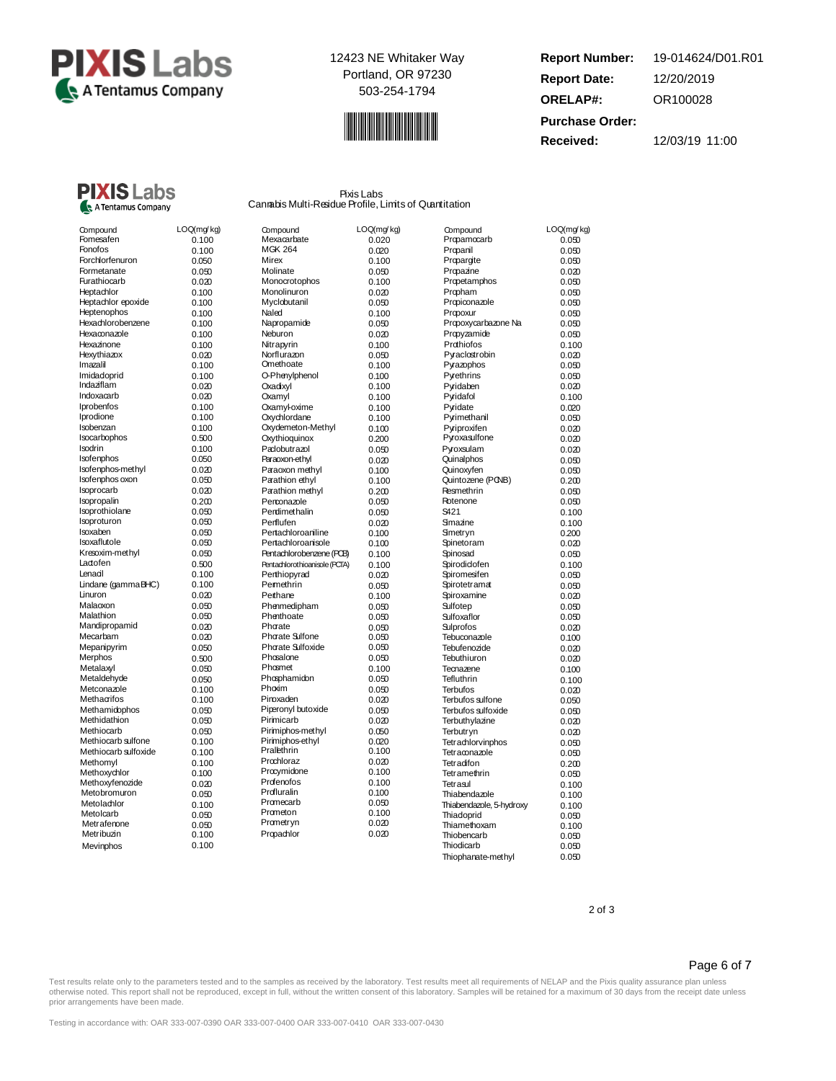



**Report Number: Report Date: ORELAP#:** 12/20/2019 OR100028 **Received:** 12/03/19 11:00 **Purchase Order:** 19-014624/D01.R01

## **PIXIS** Labs A Tentamus Company

Pixis Labs Cannabis Multi-Residue Profile, Limits of Quantitation

| Compound             | LOQ(mg/kg) | Compound                      | LOQ(mg/kg) | Compound                 | LOQ(mg/kg) |
|----------------------|------------|-------------------------------|------------|--------------------------|------------|
| Fomesafen            | 0.100      | Mexacarbate                   | 0.020      | Propamocarb              | 0.050      |
| Fonofos              | 0.100      | <b>MGK 264</b>                | 0.020      | Propanil                 | 0.050      |
| Forchlorfenuron      | 0.050      | <b>Mirex</b>                  | 0.100      | Proparoite               | 0.050      |
| Formetanate          | 0.050      | Molinate                      | 0.050      | Propazine                | 0.020      |
| Furathiocarb         | 0.020      | Monocrotophos                 | 0.100      | Propetamphos             | 0.050      |
| Heptachlor           | 0.100      | Monolinuron                   | 0.020      | Propham                  | 0.050      |
| Heptachlor epoxide   | 0.100      | Myclobutanil                  | 0.050      | Propiconazole            | 0.050      |
| Heptenophos          | 0.100      | Naled                         | 0.100      | Propoxur                 | 0.050      |
| Hexachlorobenzene    | 0.100      | Napropamide                   | 0.050      | Propoxycarbazone Na      | 0.050      |
| Hexaconazole         | 0.100      | Neburon                       | 0.020      | Propyzamide              | 0.050      |
| Hexazinone           | 0.100      | Nitrapyrin                    | 0.100      | Prothiofos               | 0.100      |
| Hexythiazox          | 0.020      | Norflurazon                   | 0.050      | Pyraclostrobin           | 0.020      |
| Imazalil             | 0.100      | Omethoate                     | 0.100      | Pyrazophos               | 0.050      |
| Imidadoprid          | 0.100      | O-Phenylphenol                | 0.100      | Pyrethrins               | 0.050      |
| Indaziflam           | 0.020      | Oxadixyl                      | 0.100      | Pyridaben                | 0.020      |
| Indoxacarb           | 0.020      | Oxamyl                        | 0.100      | Pyridafol                | 0.100      |
| Iprobenfos           | 0.100      | Oxamyloxime                   | 0.100      | Pyridate                 | 0.020      |
| Iprodione            | 0.100      | Oxychlordane                  | 0.100      | Pyrimethanil             | 0.050      |
| Isobenzan            | 0.100      | Oxydemeton-Methyl             |            | Pyriproxifen             |            |
| Isocarbophos         | 0.500      | Oxythioquinox                 | 0.100      | Pyroxasulfone            | 0.020      |
| Isodrin              |            |                               | 0.200      |                          | 0.020      |
| Isofenphos           | 0.100      | Padobutrazol                  | 0.050      | Pyroxsulam               | 0.020      |
|                      | 0.050      | Paraoxon-ethyl                | 0.020      | Quinalphos               | 0.050      |
| Isofenphos-methyl    | 0.020      | Paraoxon methyl               | 0.100      | Quinoxyfen               | 0.050      |
| Isofenphos oxon      | 0.050      | Parathion ethyl               | 0.100      | Quintozene (PONB)        | 0.200      |
| Isoprocarb           | 0.020      | Parathion methyl              | 0.200      | Resmethrin               | 0.050      |
| Isopropalin          | 0.200      | Penconazole                   | 0.050      | Rotenone                 | 0.050      |
| Isoprothiolane       | 0.050      | Perdimethalin                 | 0.050      | S421                     | 0.100      |
| Isoproturon          | 0.050      | Perflufen                     | 0.020      | Smazine                  | 0.100      |
| Isoxaben             | 0.050      | Pertachloroaniline            | 0.100      | Smetryn                  | 0.200      |
| Isoxaflutole         | 0.050      | Pertachloroanisole            | 0.100      | Spinetoram               | 0.020      |
| Kresoxim-methyl      | 0.050      | Pentachlorobenzene (PCB)      | 0.100      | Spinosad                 | 0.050      |
| Ladofen              | 0.500      | Pentachlorothioanisole (PCTA) | 0.100      | Spirodiclofen            | 0.100      |
| Lenadl               | 0.100      | Perthiopyrad                  | 0.020      | Spiromesifen             | 0.050      |
| Lindane (gammaBHC)   | 0.100      | Pemethrin                     | 0.050      | Spirotetramat            | 0.050      |
| Linuron              | 0.020      | Perthane                      | 0.100      | Spiroxamine              | 0.020      |
| Malaoxon             | 0.050      | Phenmedipham                  | 0.050      | Sulfotep                 | 0.050      |
| Malathion            | 0.050      | Phenthoate                    | 0.050      | Sulfoxaflor              | 0.050      |
| Mandipropamid        | 0.020      | Phorate                       | 0.050      | Sulprofos                | 0.020      |
| Mecarbam             | 0.020      | Phorate Sulfone               | 0.050      | Tebuconazole             | 0.100      |
| Mepanipyrim          | 0.050      | Phorate Sulfoxide             | 0.050      | Tebufenozide             | 0.020      |
| Merphos              | 0.500      | Phosalone                     | 0.050      | Tebuthiuron              | 0.020      |
| Metalaxyl            | 0.050      | Phosmet                       | 0.100      | Tecnazene                | 0.100      |
| Metaldehyde          | 0.050      | Phosphamidon                  | 0.050      | Tefluthrin               | 0.100      |
| Metconazole          | 0.100      | Phoxim                        | 0.050      | <b>Terbufos</b>          | 0.020      |
| Methacrifos          | 0.100      | Pinoxaden                     | 0.020      | Terbufos sulfone         | 0.050      |
| Methamidophos        | 0.050      | Piperonyl butoxide            | 0.050      | Terbufos sulfoxide       | 0.050      |
| Methidathion         | 0.050      | Pirimicarb                    | 0.020      | Terbuthylazine           | 0.020      |
| Methiocarb           | 0.050      | Pirimiphos-methyl             | 0.050      | Terbutryn                | 0.020      |
| Methiocarb sulfone   | 0.100      | Pirimiphos-ethyl              | 0.020      | Tetrachlorvinphos        | 0.050      |
| Methiocarb sulfoxide | 0.100      | Pralethrin                    | 0.100      | Tetraconazole            | 0.050      |
| Methomyl             | 0.100      | Prochloraz                    | 0.020      | Tetradifon               | 0.200      |
| Methoxychlor         | 0.100      | Procymidone                   | 0.100      | Tetramethrin             |            |
| Methoxyfenozide      | 0.020      | Profenofos                    | 0.100      | Tetrasul                 | 0.050      |
| Metobromuron         | 0.050      | Profluralin                   | 0.100      | Thiabendazole            | 0.100      |
| Metolachlor          |            | Promecarb                     | 0.050      |                          | 0.100      |
| Metolcarb            | 0.100      | Prometon                      | 0.100      | Thiabendazole, 5-hydroxy | 0.100      |
| Metrafenone          | 0.050      | Prometryn                     | 0.020      | Thiadoprid               | 0.050      |
| Metribuzin           | 0.050      | Propachlor                    | 0.020      | Thiamethoxam             | 0.100      |
|                      | 0.100      |                               |            | Thiobencarb              | 0.050      |
| Mevinphos            | 0.100      |                               |            | Thiodicarb               | 0.050      |
|                      |            |                               |            | Thiophanate-methyl       | 0.050      |

| Compound                  | Mexacarbate                   | LOQ(mg/        |
|---------------------------|-------------------------------|----------------|
| MGK 264                   |                               | 0.020          |
| Mirex                     |                               | 0.020          |
| Molinate                  |                               | 0.100          |
|                           |                               | 0.050          |
|                           | Monocrotophos<br>Monolinuron  | 0.100          |
|                           | Myclobutanil                  | 0.020          |
| Naled                     |                               | 0.050          |
|                           |                               | 0.100          |
|                           | Napropamide                   | 0.050          |
| Neburon                   |                               | 0.020          |
| Nitrapyrin<br>Norflurazon |                               | 0.100<br>0.050 |
| Omethoate                 |                               |                |
|                           | O-Phenylphenol                | 0.100<br>0.100 |
| Oxadixyl                  |                               | 0.100          |
| Oxamyl                    |                               | 0.100          |
|                           | Oxamyl-oxime                  | 0.100          |
|                           | Oxychlordane                  | 0.100          |
|                           | Oxydemeton-Methyl             | 0.100          |
|                           | Oxythioquinox                 | 0.200          |
|                           | Padobutrazol                  |                |
|                           | Paraoxon-ethyl                | 0.050<br>0.020 |
|                           | Paraoxon methyl               | 0.100          |
|                           | Parathion ethyl               | 0.100          |
|                           | Parathion methyl              | 0.200          |
|                           | Penconazole                   | 0.050          |
|                           | Perdimethalin                 | 0.050          |
| Perflufen                 |                               | 0.020          |
|                           | Pertachloroaniline            | 0.100          |
|                           | Pertachloroanisole            | 0.100          |
|                           | Pentachlorobenzene (PCB)      | 0.100          |
|                           | Pentachlorothioanisole (PCTA) | 0.100          |
|                           | Perthiopyrad                  | 0.020          |
| Permethrin                |                               | 0.050          |
| Pethane                   |                               | 0.100          |
|                           | Phenmedipham                  | 0.050          |
| Phenthoate                |                               | 0.050          |
| Phorate                   |                               | 0.050          |
|                           | Phorate Sulfone               | 0.050          |
|                           | Phorate Sulfoxide             | 0.050          |
| Phosalone                 |                               | 0.050          |
| Phosmet                   |                               | 0.100          |
|                           | Phosphamidon                  | 0.050          |
| Phoxim                    |                               | 0.050          |
| Pinoxaden                 |                               | 0.020          |
|                           | Piperonyl butoxide            | 0.050          |
| Pirimicarb                |                               | 0.020          |
|                           | Pirimiphos-methyl             | 0.050          |
|                           | Pirimiphos-ethyl              | 0.020          |
| Pralethrin                |                               | 0.100          |
| Prochloraz                |                               | 0.020          |
|                           | Procymidone                   | 0.100          |
| Profenofos                |                               | 0.100          |
| Profluralin               |                               | 0.100          |
| Promecarb                 |                               | 0.050          |
| Prometon                  |                               | 0.100          |
| Prametryn                 |                               | 0.020          |
| Propachlor                |                               | 0.020          |
|                           |                               |                |

| <b>Compound</b>            | LOQ(m            |
|----------------------------|------------------|
| rcpamocarb                 | 0.0              |
| <sup>2</sup> ropanil       | 0.0              |
| Propargite                 | 0.0              |
| Propazine                  | 0.0              |
| Propetamphos               | 0.0              |
| <sup>9</sup> ropham        | 0.0              |
| Propiconazole              | 0.0              |
| <sup>2</sup> rapoxur       | 0.0              |
| Propoxycarbazone Na        | 0.0              |
| <sup>2</sup> rapyzamide    | 0.0              |
| Prothiofos                 | 0.1              |
| <sup>9</sup> yraclostrobin | 0.0              |
| <b>yazophos</b>            | 0.0              |
| yethrins                   | 0.0              |
| <sup>9</sup> yridaben      | 0.0              |
| <sup>2</sup> yridafol      | 0.1              |
| <sup>9</sup> yridate       | 0.0              |
| yrimethanil                | 0.0              |
| yriproxifen                | 0.0              |
| yoxasulfone                | 0.0              |
| yroxsulam                  | 0.0              |
| <b>uinalphos</b>           | 0.0              |
| luinoxyfen                 | 0.0              |
| luintozene (PONB)          | 0.2              |
| esmethrin                  | 0.0              |
| btenone                    | 0.0              |
| 421                        | 0.1              |
| Imazine                    | 0.1              |
| lmetryn                    | 0.2 <sub>0</sub> |
| pinetoram                  | 0.0              |
| binosad                    | 0.0              |
| pirodiclofen               | 0.1              |
| piromesifen                | 0.0              |
| pirotetramat               | 0.0              |
| piroxamine                 | 0.0              |
| ulfotep                    | 0.0              |
| ulfoxaflor                 | 0.0              |
| ulprofos                   | 0.0              |
| ebuconazole                | 0.1              |
| ebufenozide                | 0.0              |
| ebuthiuron                 | 0.0              |
| ecnazene                   | 0.1              |
| efluthrin                  | 0.1              |
| erbufos                    | 0.0              |
| erbufos sulfone            | 0.0              |
| erbufos sulfoxide          | 0.0              |
| erbuthylazine              | 0.0              |
| erbutryn                   | 0.0              |
| etrachlorvinphos           | 0.0              |
| etraconazole               | 0.0              |
| etradifon                  | 0.2              |
| etramethrin                | 0.0              |
| etrasul                    | 0.1              |
| hiabendazole               | 0.1              |
| hiabendazole, 5-hydroxy    | 0.1              |
| hiadoprid                  | 0.0              |
| hiamethoxam                | 0.1              |
| hiobencarb                 | $_{0.0}$         |
| hiodicarh                  | ሰ በ              |

Thiophanate-methyl 0.050

2 of 3

## Page 6 of 7